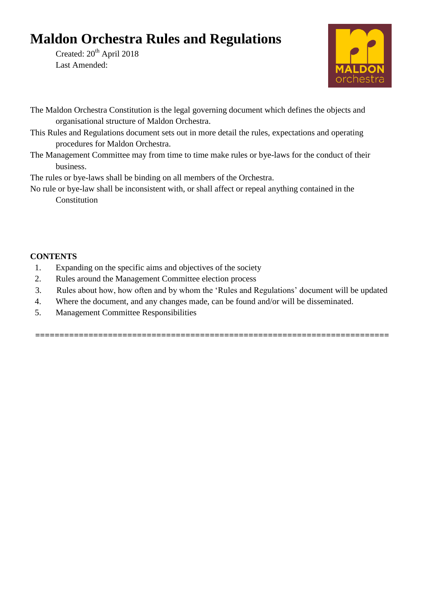# **Maldon Orchestra Rules and Regulations**

Created: 20<sup>th</sup> April 2018 Last Amended:



- The Maldon Orchestra Constitution is the legal governing document which defines the objects and organisational structure of Maldon Orchestra.
- This Rules and Regulations document sets out in more detail the rules, expectations and operating procedures for Maldon Orchestra.
- The Management Committee may from time to time make rules or bye-laws for the conduct of their business.

The rules or bye-laws shall be binding on all members of the Orchestra.

No rule or bye-law shall be inconsistent with, or shall affect or repeal anything contained in the Constitution

# **CONTENTS**

- 1. Expanding on the specific aims and objectives of the society
- 2. Rules around the Management Committee election process
- 3. Rules about how, how often and by whom the 'Rules and Regulations' document will be updated
- 4. Where the document, and any changes made, can be found and/or will be disseminated.
- 5. Management Committee Responsibilities

**=========================================================================**